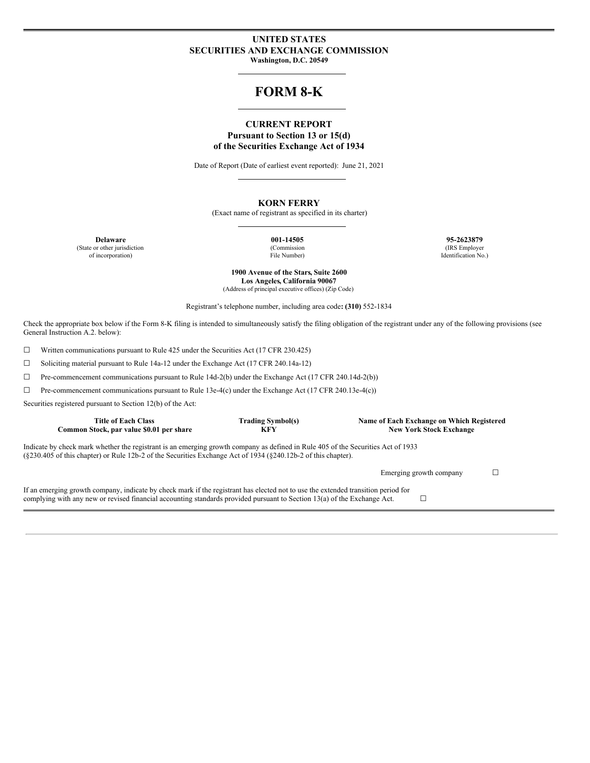#### **UNITED STATES SECURITIES AND EXCHANGE COMMISSION Washington, D.C. 20549**

# **FORM 8-K**

### **CURRENT REPORT Pursuant to Section 13 or 15(d) of the Securities Exchange Act of 1934**

Date of Report (Date of earliest event reported): June 21, 2021

#### **KORN FERRY**

(Exact name of registrant as specified in its charter)

(State or other jurisdiction of incorporation)

(Commission File Number)

**Delaware 001-14505 95-2623879** (IRS Employer Identification No.)

> **1900 Avenue of the Stars, Suite 2600 Los Angeles, California 90067** (Address of principal executive offices) (Zip Code)

Registrant's telephone number, including area code**: (310)** 552-1834

Check the appropriate box below if the Form 8-K filing is intended to simultaneously satisfy the filing obligation of the registrant under any of the following provisions (see General Instruction A.2. below):

☐ Written communications pursuant to Rule 425 under the Securities Act (17 CFR 230.425)

☐ Soliciting material pursuant to Rule 14a-12 under the Exchange Act (17 CFR 240.14a-12)

☐ Pre-commencement communications pursuant to Rule 14d-2(b) under the Exchange Act (17 CFR 240.14d-2(b))

☐ Pre-commencement communications pursuant to Rule 13e-4(c) under the Exchange Act (17 CFR 240.13e-4(c))

Securities registered pursuant to Section 12(b) of the Act:

| <b>Title of Each Class</b><br>Common Stock, par value \$0.01 per share                                                                                                                                                                                        | <b>Trading Symbol(s)</b><br><b>KFY</b> | Name of Each Exchange on Which Registered<br><b>New York Stock Exchange</b> |  |  |  |  |  |  |
|---------------------------------------------------------------------------------------------------------------------------------------------------------------------------------------------------------------------------------------------------------------|----------------------------------------|-----------------------------------------------------------------------------|--|--|--|--|--|--|
| Indicate by check mark whether the registrant is an emerging growth company as defined in Rule 405 of the Securities Act of 1933<br>(§230.405 of this chapter) or Rule 12b-2 of the Securities Exchange Act of 1934 (§240.12b-2 of this chapter).             |                                        |                                                                             |  |  |  |  |  |  |
|                                                                                                                                                                                                                                                               |                                        | Emerging growth company                                                     |  |  |  |  |  |  |
| If an emerging growth company, indicate by check mark if the registrant has elected not to use the extended transition period for<br>complying with any new or revised financial accounting standards provided pursuant to Section 13(a) of the Exchange Act. |                                        |                                                                             |  |  |  |  |  |  |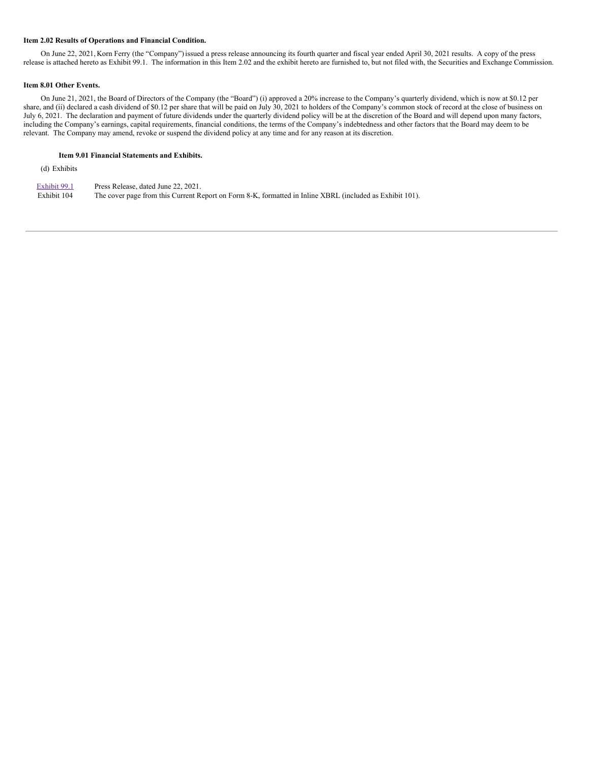#### **Item 2.02 Results of Operations and Financial Condition.**

On June 22, 2021, Korn Ferry (the "Company") issued a press release announcing its fourth quarter and fiscal year ended April 30, 2021 results. A copy of the press release is attached hereto as Exhibit 99.1. The information in this Item 2.02 and the exhibit hereto are furnished to, but not filed with, the Securities and Exchange Commission.

#### **Item 8.01 Other Events.**

On June 21, 2021, the Board of Directors of the Company (the "Board") (i) approved a 20% increase to the Company's quarterly dividend, which is now at \$0.12 per share, and (ii) declared a cash dividend of \$0.12 per share that will be paid on July 30, 2021 to holders of the Company's common stock of record at the close of business on July 6, 2021. The declaration and payment of future dividends under the quarterly dividend policy will be at the discretion of the Board and will depend upon many factors, including the Company's earnings, capital requirements, financial conditions, the terms of the Company's indebtedness and other factors that the Board may deem to be relevant. The Company may amend, revoke or suspend the dividend policy at any time and for any reason at its discretion.

#### **Item 9.01 Financial Statements and Exhibits.**

(d) Exhibits

| Exhibit 99.1 | Press Release, dated June 22, 2021.                                                                      |
|--------------|----------------------------------------------------------------------------------------------------------|
| Exhibit 104  | The cover page from this Current Report on Form 8-K, formatted in Inline XBRL (included as Exhibit 101). |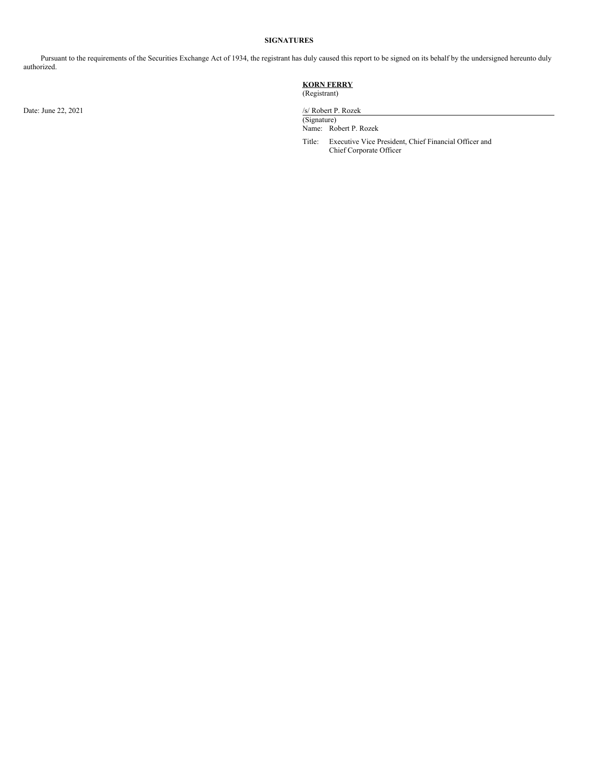#### **SIGNATURES**

Pursuant to the requirements of the Securities Exchange Act of 1934, the registrant has duly caused this report to be signed on its behalf by the undersigned hereunto duly authorized.

#### **KORN FERRY** (Registrant)

Date: June 22, 2021 /s/ Robert P. Rozek

(Signature) Name: Robert P. Rozek

Title: Executive Vice President, Chief Financial Officer and Chief Corporate Officer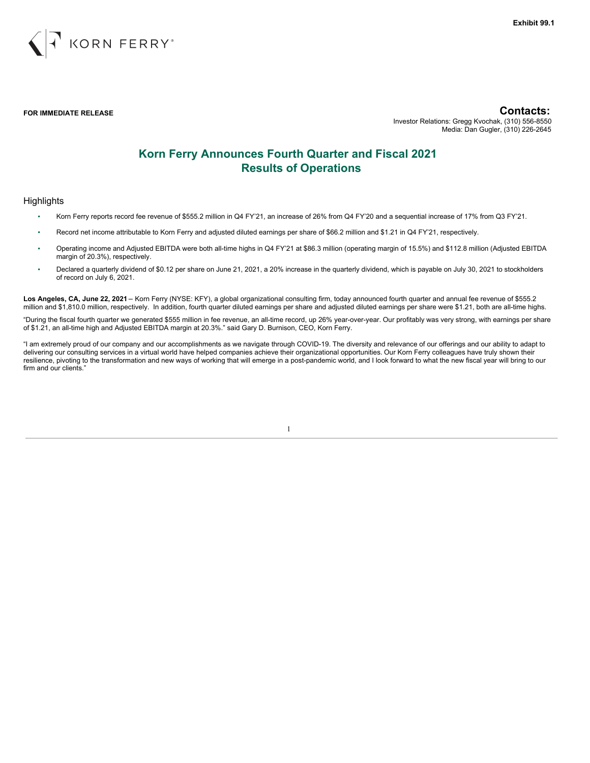

**FOR IMMEDIATE RELEASE Contacts:** Investor Relations: Gregg Kvochak, (310) 556-8550 Media: Dan Gugler, (310) 226-2645

# **Korn Ferry Announces Fourth Quarter and Fiscal 2021 Results of Operations**

#### **Highlights**

- Korn Ferry reports record fee revenue of \$555.2 million in Q4 FY'21, an increase of 26% from Q4 FY'20 and a sequential increase of 17% from Q3 FY'21.
- Record net income attributable to Korn Ferry and adjusted diluted earnings per share of \$66.2 million and \$1.21 in Q4 FY'21, respectively.
- Operating income and Adjusted EBITDA were both all-time highs in Q4 FY'21 at \$86.3 million (operating margin of 15.5%) and \$112.8 million (Adjusted EBITDA margin of 20.3%), respectively.
- Declared a quarterly dividend of \$0.12 per share on June 21, 2021, a 20% increase in the quarterly dividend, which is payable on July 30, 2021 to stockholders of record on July 6, 2021.

**Los Angeles, CA, June 22, 2021** – Korn Ferry (NYSE: KFY), a global organizational consulting firm, today announced fourth quarter and annual fee revenue of \$555.2 million and \$1,810.0 million, respectively. In addition, fourth quarter diluted earnings per share and adjusted diluted earnings per share were \$1.21, both are all-time highs.

"During the fiscal fourth quarter we generated \$555 million in fee revenue, an all-time record, up 26% year-over-year. Our profitably was very strong, with earnings per share of \$1.21, an all-time high and Adjusted EBITDA margin at 20.3%." said Gary D. Burnison, CEO, Korn Ferry.

"I am extremely proud of our company and our accomplishments as we navigate through COVID-19. The diversity and relevance of our offerings and our ability to adapt to delivering our consulting services in a virtual world have helped companies achieve their organizational opportunities. Our Korn Ferry colleagues have truly shown their resilience, pivoting to the transformation and new ways of working that will emerge in a post-pandemic world, and I look forward to what the new fiscal year will bring to our firm and our clients."

1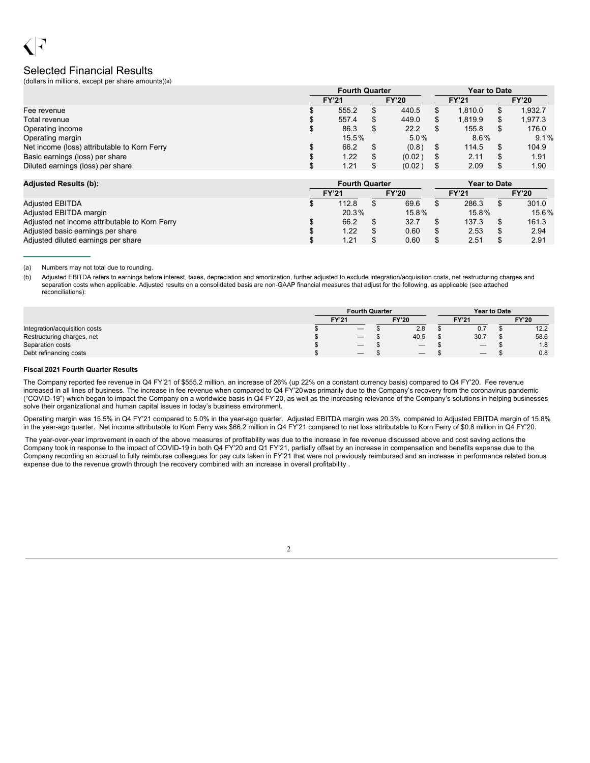# Selected Financial Results

(dollars in millions, except per share amounts)(a)

|                                              |    | <b>Fourth Quarter</b> |          | <b>Year to Date</b> |                 |              |   |              |  |
|----------------------------------------------|----|-----------------------|----------|---------------------|-----------------|--------------|---|--------------|--|
|                                              |    | <b>FY'21</b>          |          | <b>FY'20</b>        |                 | <b>FY'21</b> |   | <b>FY'20</b> |  |
| Fee revenue                                  |    | 555.2                 |          | 440.5               |                 | 1.810.0      |   | 1,932.7      |  |
| Total revenue                                |    | 557.4                 |          | 449.0               |                 | 1.819.9      |   | 1.977.3      |  |
| Operating income                             | \$ | 86.3                  |          | 22.2                |                 | 155.8        |   | 176.0        |  |
| Operating margin                             |    |                       | $15.5\%$ |                     | $8.6\%$<br>5.0% |              |   | 9.1%         |  |
| Net income (loss) attributable to Korn Ferry |    | 66.2                  |          | (0.8)               |                 | 114.5        |   | 104.9        |  |
| Basic earnings (loss) per share              | S  | 1.22                  |          | (0.02)              |                 | 2.11         | S | 1.91         |  |
| Diluted earnings (loss) per share            |    | 1.21                  |          | (0.02)              |                 | 2.09         |   | 1.90         |  |

| <b>Adjusted Results (b):</b>                   |              | <b>Fourth Quarter</b> |  |              | <b>Year to Date</b> |       |  |              |  |
|------------------------------------------------|--------------|-----------------------|--|--------------|---------------------|-------|--|--------------|--|
|                                                | <b>FY'21</b> |                       |  | <b>FY'20</b> | <b>FY'21</b>        |       |  | <b>FY'20</b> |  |
| <b>Adjusted EBITDA</b>                         |              | 112.8                 |  | 69.6         |                     | 286.3 |  | 301.0        |  |
| Adjusted EBITDA margin                         |              | 20.3%                 |  | $15.8\%$     |                     | 15.8% |  | 15.6%        |  |
| Adjusted net income attributable to Korn Ferry |              | 66.2                  |  | 32.7         |                     | 137.3 |  | 161.3        |  |
| Adjusted basic earnings per share              | S            | 1.22                  |  | 0.60         |                     | 2.53  |  | 2.94         |  |
| Adjusted diluted earnings per share            |              | 1.21                  |  | 0.60         |                     | 2.51  |  | 2.91         |  |

(a) Numbers may not total due to rounding.

 $\frac{1}{2}$  ,  $\frac{1}{2}$  ,  $\frac{1}{2}$  ,  $\frac{1}{2}$  ,  $\frac{1}{2}$  ,  $\frac{1}{2}$ 

(b) Adjusted EBITDA refers to earnings before interest, taxes, depreciation and amortization, further adjusted to exclude integration/acquisition costs, net restructuring charges and separation costs when applicable. Adjusted results on a consolidated basis are non-GAAP financial measures that adjust for the following, as applicable (see attached reconciliations):

|                               | <b>Fourth Quarter</b> |                                 |  |                                         |              | <b>Year to Date</b> |  |              |
|-------------------------------|-----------------------|---------------------------------|--|-----------------------------------------|--------------|---------------------|--|--------------|
|                               | <b>FY'21</b>          |                                 |  | <b>FY'20</b>                            | <b>FY'21</b> |                     |  | <b>FY'20</b> |
| Integration/acquisition costs |                       | $\hspace{0.1mm}-\hspace{0.1mm}$ |  | 2.8                                     |              | 0.7                 |  | 12.2         |
| Restructuring charges, net    |                       | $\hspace{0.1mm}-\hspace{0.1mm}$ |  | 40.5                                    |              | 30.7                |  | 58.6         |
| Separation costs              |                       | $\qquad \qquad \longleftarrow$  |  | $\qquad \qquad \  \  \, -\qquad \qquad$ |              |                     |  | 1.8          |
| Debt refinancing costs        |                       |                                 |  |                                         |              |                     |  | 0.8          |

#### **Fiscal 2021 Fourth Quarter Results**

The Company reported fee revenue in Q4 FY'21 of \$555.2 million, an increase of 26% (up 22% on a constant currency basis) compared to Q4 FY'20. Fee revenue increased in all lines of business. The increase in fee revenue when compared to Q4 FY'20was primarily due to the Company's recovery from the coronavirus pandemic ("COVID-19") which began to impact the Company on a worldwide basis in Q4 FY'20, as well as the increasing relevance of the Company's solutions in helping businesses solve their organizational and human capital issues in today's business environment.

Operating margin was 15.5% in Q4 FY'21 compared to 5.0% in the year-ago quarter. Adjusted EBITDA margin was 20.3%, compared to Adjusted EBITDA margin of 15.8% in the year-ago quarter. Net income attributable to Korn Ferry was \$66.2 million in Q4 FY'21 compared to net loss attributable to Korn Ferry of \$0.8 million in Q4 FY'20.

The year-over-year improvement in each of the above measures of profitability was due to the increase in fee revenue discussed above and cost saving actions the Company took in response to the impact of COVID-19 in both Q4 FY'20 and Q1 FY'21, partially offset by an increase in compensation and benefits expense due to the Company recording an accrual to fully reimburse colleagues for pay cuts taken in FY'21 that were not previously reimbursed and an increase in performance related bonus expense due to the revenue growth through the recovery combined with an increase in overall profitability .

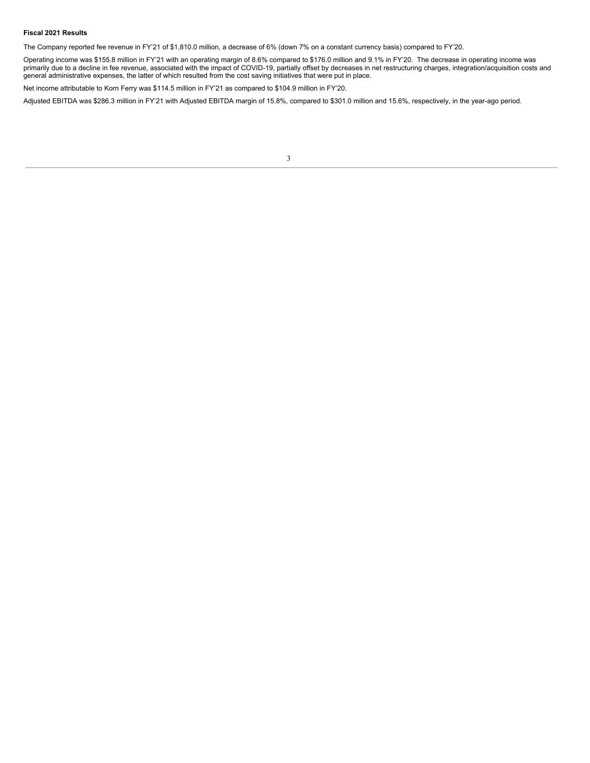#### **Fiscal 2021 Results**

The Company reported fee revenue in FY'21 of \$1,810.0 million, a decrease of 6% (down 7% on a constant currency basis) compared to FY'20.

Operating income was \$155.8 million in FY'21 with an operating margin of 8.6% compared to \$176.0 million and 9.1% in FY'20. The decrease in operating income was primarily due to a decline in fee revenue, associated with the impact of COVID-19, partially offset by decreases in net restructuring charges, integration/acquisition costs and general administrative expenses, the latter of which resulted from the cost saving initiatives that were put in place.

Net income attributable to Korn Ferry was \$114.5 million in FY'21 as compared to \$104.9 million in FY'20.

Adjusted EBITDA was \$286.3 million in FY'21 with Adjusted EBITDA margin of 15.8%, compared to \$301.0 million and 15.6%, respectively, in the year-ago period.

| × | ٧ | I | ۰, |  |
|---|---|---|----|--|
|   |   |   |    |  |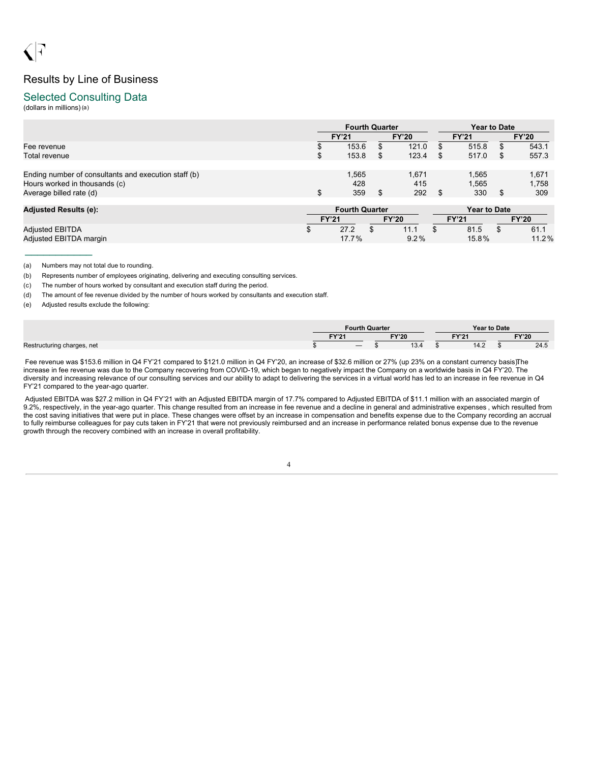# Results by Line of Business

### Selected Consulting Data

(dollars in millions)(a)

|                                                                                                                  | <b>Fourth Quarter</b>                                 |         |                     | <b>Year to Date</b> |                                     |              |                       |  |  |
|------------------------------------------------------------------------------------------------------------------|-------------------------------------------------------|---------|---------------------|---------------------|-------------------------------------|--------------|-----------------------|--|--|
|                                                                                                                  | <b>FY'20</b><br><b>FY'21</b>                          |         |                     |                     | <b>FY'21</b>                        | <b>FY'20</b> |                       |  |  |
| Fee revenue<br>Total revenue                                                                                     | 153.6<br>153.8                                        | S<br>\$ | 121.0<br>123.4      | S<br>S              | 515.8<br>517.0                      | S<br>S.      | 543.1<br>557.3        |  |  |
| Ending number of consultants and execution staff (b)<br>Hours worked in thousands (c)<br>Average billed rate (d) | \$<br>1,565<br>428<br>359                             | \$      | 1,671<br>415<br>292 | \$.                 | 1,565<br>1,565<br>330               | S            | 1,671<br>1,758<br>309 |  |  |
| <b>Adjusted Results (e):</b>                                                                                     | <b>Fourth Quarter</b><br><b>FY'21</b><br><b>FY'20</b> |         |                     |                     | <b>Year to Date</b><br><b>FY'21</b> |              | <b>FY'20</b>          |  |  |
| <b>Adjusted EBITDA</b><br>Adjusted EBITDA margin                                                                 | 27.2<br>17.7%                                         | \$.     | 11.1<br>9.2%        |                     | 81.5<br>15.8%                       |              | 61.1<br>11.2%         |  |  |

(a) Numbers may not total due to rounding.

 $\frac{1}{2}$  ,  $\frac{1}{2}$  ,  $\frac{1}{2}$  ,  $\frac{1}{2}$  ,  $\frac{1}{2}$  ,  $\frac{1}{2}$  ,  $\frac{1}{2}$ 

(b) Represents number of employees originating, delivering and executing consulting services.

(c) The number of hours worked by consultant and execution staff during the period.

(d) The amount of fee revenue divided by the number of hours worked by consultants and execution staff.

(e) Adjusted results exclude the following:

|                            |                       |                                 | <b>Fourth Quarter</b> |            |                   | <b>Year to Date</b> |  |      |
|----------------------------|-----------------------|---------------------------------|-----------------------|------------|-------------------|---------------------|--|------|
|                            | FY'20<br><b>EVIO4</b> |                                 |                       |            | EV <sub>104</sub> | <b>FY'20</b>        |  |      |
| Restructuring charges, net |                       | $\hspace{0.1mm}-\hspace{0.1mm}$ |                       | 12<br>⊶.بו |                   | 14.2                |  | 24.5 |

Fee revenue was \$153.6 million in Q4 FY'21 compared to \$121.0 million in Q4 FY'20, an increase of \$32.6 million or 27% (up 23% on a constant currency basis)The increase in fee revenue was due to the Company recovering from COVID-19, which began to negatively impact the Company on a worldwide basis in Q4 FY'20. The diversity and increasing relevance of our consulting services and our ability to adapt to delivering the services in a virtual world has led to an increase in fee revenue in Q4 FY'21 compared to the year-ago quarter.

Adjusted EBITDA was \$27.2 million in Q4 FY'21 with an Adjusted EBITDA margin of 17.7% compared to Adjusted EBITDA of \$11.1 million with an associated margin of 9.2%, respectively, in the year-ago quarter. This change resulted from an increase in fee revenue and a decline in general and administrative expenses , which resulted from the cost saving initiatives that were put in place. These changes were offset by an increase in compensation and benefits expense due to the Company recording an accrual to fully reimburse colleagues for pay cuts taken in FY'21 that were not previously reimbursed and an increase in performance related bonus expense due to the revenue growth through the recovery combined with an increase in overall profitability.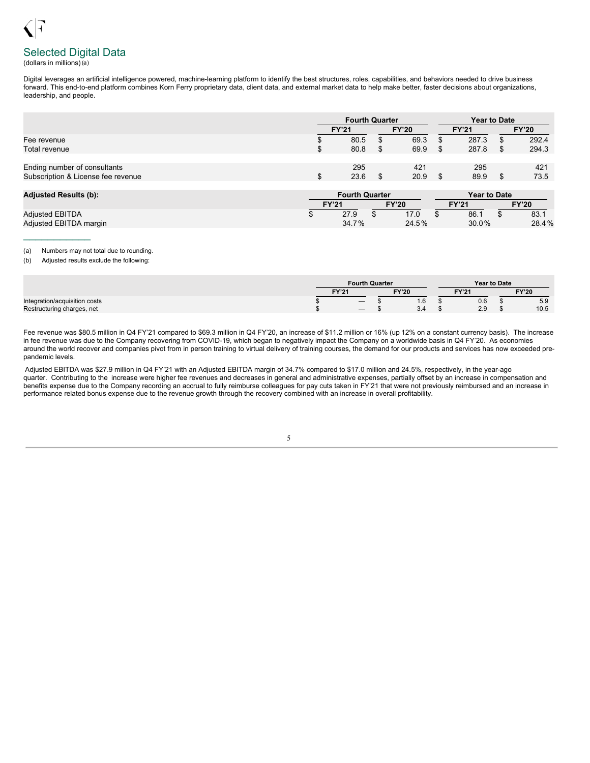# Selected Digital Data

#### (dollars in millions)(a)

Digital leverages an artificial intelligence powered, machine-learning platform to identify the best structures, roles, capabilities, and behaviors needed to drive business forward. This end-to-end platform combines Korn Ferry proprietary data, client data, and external market data to help make better, faster decisions about organizations, leadership, and people.

|                                                                    | <b>Fourth Quarter</b> |             |  |              |  | <b>Year to Date</b> |  |              |  |  |
|--------------------------------------------------------------------|-----------------------|-------------|--|--------------|--|---------------------|--|--------------|--|--|
|                                                                    | <b>FY'21</b>          |             |  | <b>FY'20</b> |  | <b>FY'21</b>        |  | <b>FY'20</b> |  |  |
| Fee revenue                                                        |                       | 80.5        |  | 69.3         |  | 287.3               |  | 292.4        |  |  |
| Total revenue                                                      |                       | 80.8        |  | 69.9         |  | 287.8               |  | 294.3        |  |  |
| Ending number of consultants<br>Subscription & License fee revenue |                       | 295<br>23.6 |  | 421<br>20.9  |  | 295<br>89.9         |  | 421<br>73.5  |  |  |

| <b>Adjusted Results (b):</b> |              | <b>Fourth Quarter</b> |       | <b>Year to Date</b> |       |              |       |  |
|------------------------------|--------------|-----------------------|-------|---------------------|-------|--------------|-------|--|
|                              | <b>FY'21</b> |                       | CY'20 |                     | FY'21 | <b>FY'20</b> |       |  |
| <b>Adiusted EBITDA</b>       |              | 27.9                  | 17.0  |                     | 86.1  |              | 83.1  |  |
| Adjusted EBITDA margin       |              | 34.7%                 | 24.5% |                     | 30.0% |              | 28.4% |  |

#### (a) Numbers may not total due to rounding.

 $\frac{1}{2}$  ,  $\frac{1}{2}$  ,  $\frac{1}{2}$  ,  $\frac{1}{2}$  ,  $\frac{1}{2}$  ,  $\frac{1}{2}$  ,  $\frac{1}{2}$ 

(b) Adjusted results exclude the following:

|                               | <b>Fourth Quarter</b> |                   |  |              |  | <b>Year to Date</b> |  |              |  |
|-------------------------------|-----------------------|-------------------|--|--------------|--|---------------------|--|--------------|--|
|                               | <b>FY'21</b>          |                   |  | <b>FY'20</b> |  | <b>FY'21</b>        |  | <b>FY'20</b> |  |
| Integration/acquisition costs |                       | $\qquad \qquad -$ |  | $\sim$<br>.0 |  | 0.6                 |  | 5.9          |  |
| Restructuring charges, net    |                       |                   |  | 3.4          |  | 2.9                 |  | 10.5         |  |

Fee revenue was \$80.5 million in Q4 FY'21 compared to \$69.3 million in Q4 FY'20, an increase of \$11.2 million or 16% (up 12% on a constant currency basis). The increase in fee revenue was due to the Company recovering from COVID-19, which began to negatively impact the Company on a worldwide basis in Q4 FY'20. As economies around the world recover and companies pivot from in person training to virtual delivery of training courses, the demand for our products and services has now exceeded prepandemic levels.

Adjusted EBITDA was \$27.9 million in Q4 FY'21 with an Adjusted EBITDA margin of 34.7% compared to \$17.0 million and 24.5%, respectively, in the year-ago quarter. Contributing to the increase were higher fee revenues and decreases in general and administrative expenses, partially offset by an increase in compensation and benefits expense due to the Company recording an accrual to fully reimburse colleagues for pay cuts taken in FY'21 that were not previously reimbursed and an increase in performance related bonus expense due to the revenue growth through the recovery combined with an increase in overall profitability.

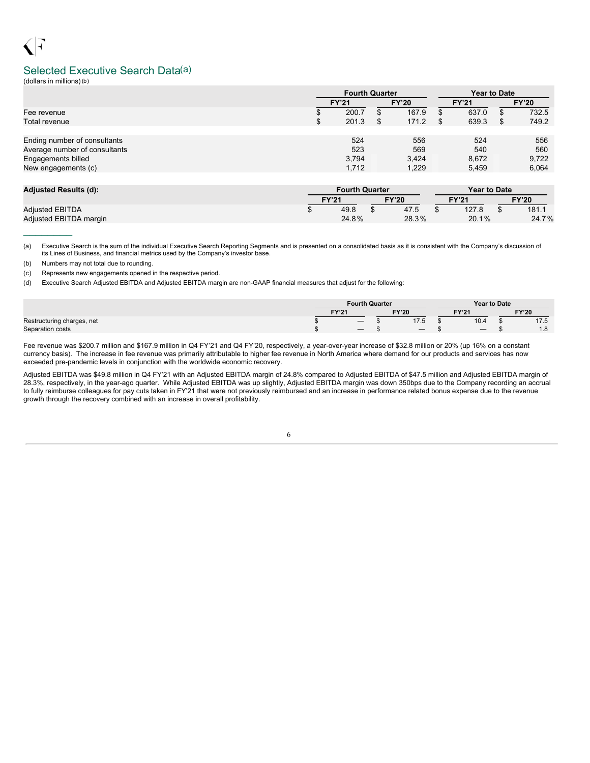# Selected Executive Search Data(a)

(dollars in millions)(b)

|                               | <b>Fourth Quarter</b> |  | <b>Year to Date</b> |  |              |    |              |
|-------------------------------|-----------------------|--|---------------------|--|--------------|----|--------------|
|                               | <b>FY'21</b>          |  | <b>FY'20</b>        |  | <b>FY'21</b> |    | <b>FY'20</b> |
| Fee revenue                   | 200.7                 |  | 167.9               |  | 637.0        | S  | 732.5        |
| Total revenue                 | \$<br>201.3           |  | 171.2               |  | 639.3        | \$ | 749.2        |
|                               |                       |  |                     |  |              |    |              |
| Ending number of consultants  | 524                   |  | 556                 |  | 524          |    | 556          |
| Average number of consultants | 523                   |  | 569                 |  | 540          |    | 560          |
| Engagements billed            | 3.794                 |  | 3.424               |  | 8.672        |    | 9,722        |
| New engagements (c)           | 1,712                 |  | 1,229               |  | 5.459        |    | 6,064        |
|                               |                       |  |                     |  |              |    |              |

| <b>Adjusted Results (d):</b> |              | <b>Fourth Quarter</b> |              | <b>Year to Date</b> |              |
|------------------------------|--------------|-----------------------|--------------|---------------------|--------------|
|                              | <b>FY'21</b> |                       | <b>FY'20</b> | TY'21               | <b>FY'20</b> |
| <b>Adiusted EBITDA</b>       |              | 49.8                  | 47.5         | 127.8               | 181.1        |
| Adjusted EBITDA margin       |              | 24.8%                 | 28.3%        | 20.1%               | 24.7%        |

(a) Executive Search is the sum of the individual Executive Search Reporting Segments and is presented on a consolidated basis as it is consistent with the Company's discussion of its Lines of Business, and financial metrics used by the Company's investor base.

(b) Numbers may not total due to rounding.

(c) Represents new engagements opened in the respective period.

(d) Executive Search Adjusted EBITDA and Adjusted EBITDA margin are non-GAAP financial measures that adjust for the following:

|                            | <b>Fourth Quarter</b><br><b>FY'20</b><br>TV:24<br>TZT |  |  |             | <b>Year to Date</b>        |              |
|----------------------------|-------------------------------------------------------|--|--|-------------|----------------------------|--------------|
|                            |                                                       |  |  |             | <b>CV'O'</b><br>$\epsilon$ | <b>FY'20</b> |
| Restructuring charges, net |                                                       |  |  | 47E<br>ن. ا | 10.4                       | .            |
| Separation costs           |                                                       |  |  |             |                            | 10<br>1.Ö    |

Fee revenue was \$200.7 million and \$167.9 million in Q4 FY'21 and Q4 FY'20, respectively, a year-over-year increase of \$32.8 million or 20% (up 16% on a constant currency basis). The increase in fee revenue was primarily attributable to higher fee revenue in North America where demand for our products and services has now exceeded pre-pandemic levels in conjunction with the worldwide economic recovery.

Adjusted EBITDA was \$49.8 million in Q4 FY'21 with an Adjusted EBITDA margin of 24.8% compared to Adjusted EBITDA of \$47.5 million and Adjusted EBITDA margin of 28.3%, respectively, in the year-ago quarter. While Adjusted EBITDA was up slightly, Adjusted EBITDA margin was down 350bps due to the Company recording an accrual to fully reimburse colleagues for pay cuts taken in FY'21 that were not previously reimbursed and an increase in performance related bonus expense due to the revenue growth through the recovery combined with an increase in overall profitability.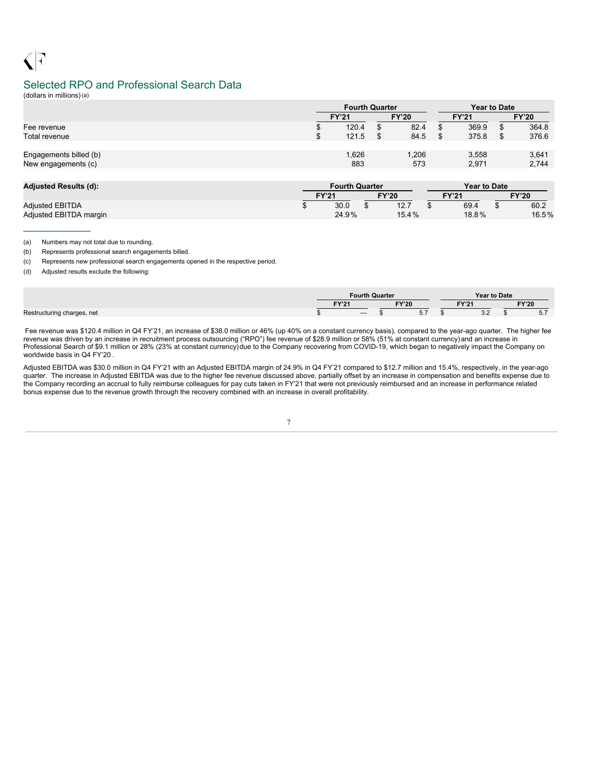## Selected RPO and Professional Search Data

(dollars in millions)(a)

 $\frac{1}{2}$  ,  $\frac{1}{2}$  ,  $\frac{1}{2}$  ,  $\frac{1}{2}$  ,  $\frac{1}{2}$  ,  $\frac{1}{2}$  ,  $\frac{1}{2}$ 

|                                               | <b>Fourth Quarter</b> |              |                | <b>Year to Date</b> |                |  |
|-----------------------------------------------|-----------------------|--------------|----------------|---------------------|----------------|--|
|                                               | <b>FY'21</b>          | <b>FY'20</b> | <b>FY'21</b>   |                     | <b>FY'20</b>   |  |
| Fee revenue                                   | 120.4                 | \$<br>82.4   | 369.9          | S                   | 364.8          |  |
| Total revenue                                 | 121.5                 | \$<br>84.5   | 375.8          | \$                  | 376.6          |  |
| Engagements billed (b)<br>New engagements (c) | 1,626<br>883          | 1,206<br>573 | 3,558<br>2,971 |                     | 3,641<br>2,744 |  |

| <b>Adiusted Results (d):</b> | <b>Fourth Quarter</b> |              | <b>Year to Date</b> |              |
|------------------------------|-----------------------|--------------|---------------------|--------------|
|                              | <b>FY'21</b>          | <b>FY'20</b> | <b>FY'21</b>        | <b>FY'20</b> |
| <b>Adiusted EBITDA</b>       | 30.0                  | 12.7         | 69.4                | 60.2         |
| Adjusted EBITDA margin       | 24.9%                 | 15.4%        | 18.8%               | 16.5%        |

(a) Numbers may not total due to rounding.

(b) Represents professional search engagements billed.

(c) Represents new professional search engagements opened in the respective period.

(d) Adjusted results exclude the following:

|                            |              | Fourth Quarter |                             | <b>Year to Date</b>  |  |            |
|----------------------------|--------------|----------------|-----------------------------|----------------------|--|------------|
|                            | <b>EVIOL</b> | <b>FY'20</b>   | EV <sub>104</sub>           | <b>FY'20</b>         |  |            |
| Restructuring charges, net |              |                | $F \rightarrow$<br>$\cup$ . | $\sim$ $\sim$<br>ے.ب |  | - -<br>◡.≀ |

Fee revenue was \$120.4 million in Q4 FY'21, an increase of \$38.0 million or 46% (up 40% on a constant currency basis), compared to the year-ago quarter. The higher fee revenue was driven by an increase in recruitment process outsourcing ("RPO") fee revenue of \$28.9 million or 58% (51% at constant currency)and an increase in Professional Search of \$9.1 million or 28% (23% at constant currency)due to the Company recovering from COVID-19, which began to negatively impact the Company on worldwide basis in Q4 FY'20 .

Adjusted EBITDA was \$30.0 million in Q4 FY'21 with an Adjusted EBITDA margin of 24.9% in Q4 FY'21 compared to \$12.7 million and 15.4%, respectively, in the year-ago quarter. The increase in Adjusted EBITDA was due to the higher fee revenue discussed above, partially offset by an increase in compensation and benefits expense due to the Company recording an accrual to fully reimburse colleagues for pay cuts taken in FY'21 that were not previously reimbursed and an increase in performance related bonus expense due to the revenue growth through the recovery combined with an increase in overall profitability.

7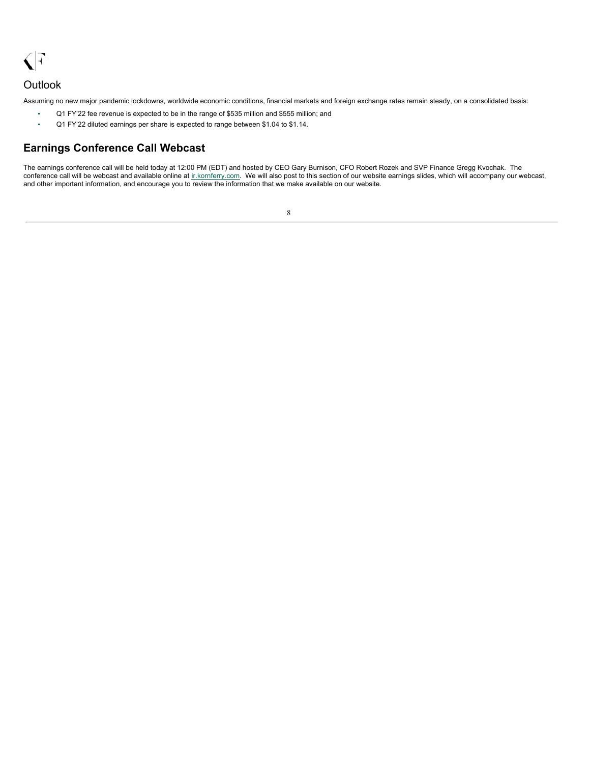<span id="page-10-0"></span> $\sqrt{7}$ 

## **Outlook**

Assuming no new major pandemic lockdowns, worldwide economic conditions, financial markets and foreign exchange rates remain steady, on a consolidated basis:

- Q1 FY'22 fee revenue is expected to be in the range of \$535 million and \$555 million; and
- Q1 FY'22 diluted earnings per share is expected to range between \$1.04 to \$1.14.

### **Earnings Conference Call Webcast**

The earnings conference call will be held today at 12:00 PM (EDT) and hosted by CEO Gary Burnison, CFO Robert Rozek and SVP Finance Gregg Kvochak. The conference call will be webcast and available online at inkornferry.com. We will also post to this section of our website earnings slides, which will accompany our webcast, and other important information, and encourage you to review the information that we make available on our website.

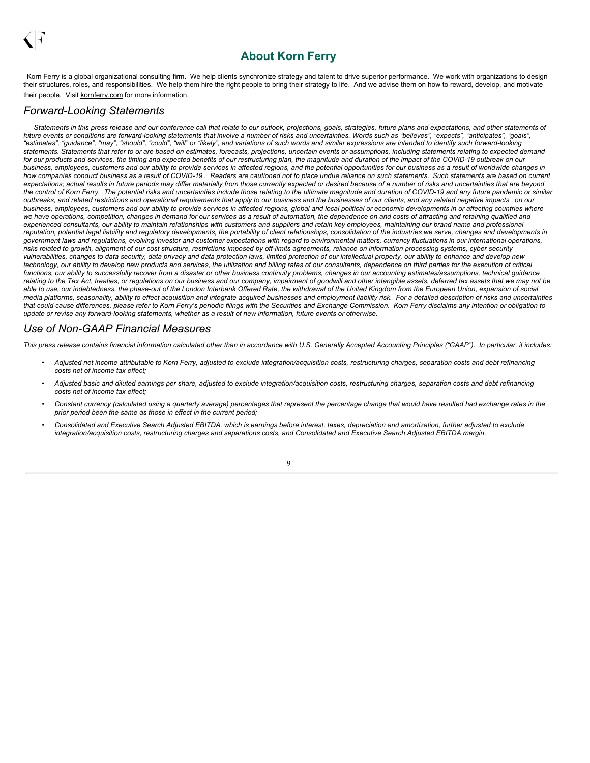# **About Korn Ferry**

Korn Ferry is a global organizational consulting firm. We help clients synchronize strategy and talent to drive superior performance. We work with organizations to design their structures, roles, and responsibilities. We help them hire the right people to bring their strategy to life. And we advise them on how to reward, develop, and motivate their people. Visit kornferry.com for more information.

### *Forward-Looking Statements*

Statements in this press release and our conference call that relate to our outlook, projections, goals, strategies, future plans and expectations, and other statements of future events or conditions are forward-looking statements that involve a number of risks and uncertainties. Words such as "believes" "axpects" "anticipates" "goals" "estimates", "guidance", "may", "should", "could", "will" or "likely", and variations of such words and similar expressions are intended to identify such forward-looking statements. Statements that refer to or are based on estimates, forecasts, projections, uncertain events or assumptions, including statements relating to expected demand for our products and services, the timing and expected benefits of our restructuring plan, the magnitude and duration of the impact of the COVID-19 outbreak on our business, employees, customers and our ability to provide services in affected regions, and the potential opportunities for our business as a result of worldwide changes in how companies conduct business as a result of COVID-19. Readers are cautioned not to place undue reliance on such statements. Such statements are based on current expectations; actual results in future periods may differ materially from those currently expected or desired because of a number of risks and uncertainties that are beyond the control of Korn Ferry. The potential risks and uncertainties include those relating to the ultimate magnitude and duration of COVID-19 and any future pandemic or similar outbreaks, and related restrictions and operational requirements that apply to our business and the businesses of our clients, and any related negative impacts on our business, employees, customers and our ability to provide services in affected regions, global and local political or economic developments in or affecting countries where we have operations, competition, changes in demand for our services as a result of automation, the dependence on and costs of attracting and retaining qualified and experienced consultants, our ability to maintain relationships with customers and suppliers and retain key employees, maintaining our brand name and professional reputation, potential legal liability and regulatory developments, the portability of client relationships, consolidation of the industries we serve, changes and developments in government laws and regulations, evolving investor and customer expectations with regard to environmental matters, currency fluctuations in our international operations, risks related to growth, alignment of our cost structure, restrictions imposed by off-limits agreements, reliance on information processing systems, cyber security vulnerabilities, changes to data security, data privacy and data protection laws, limited protection of our intellectual property, our ability to enhance and develop new technology, our ability to develop new products and services, the utilization and billing rates of our consultants, dependence on third parties for the execution of critical functions, our ability to successfully recover from a disaster or other business continuity problems, changes in our accounting estimates/assumptions, technical quidance relating to the Tax Act, treaties, or regulations on our business and our company, impairment of goodwill and other intangible assets, deferred tax assets that we may not be able to use, our indebtedness, the phase-out of the London Interbank Offered Rate, the withdrawal of the United Kingdom from the European Union, expansion of social media platforms, seasonality, ability to effect acquisition and integrate acquired businesses and employment liability risk. For a detailed description of risks and uncertainties that could cause differences, please refer to Korn Ferry's periodic filings with the Securities and Exchange Commission. Korn Ferry disclaims any intention or obligation to update or revise any forward-looking statements, whether as a result of new information, future events or otherwise.

### *Use of Non-GAAP Financial Measures*

This press release contains financial information calculated other than in accordance with U.S. Generally Accepted Accounting Principles ("GAAP"). In particular, it includes:

- Adjusted net income attributable to Korn Ferry, adjusted to exclude integration/acquisition costs, restructuring charges, separation costs and debt refinancing *costs net of income tax effect;*
- Adjusted basic and diluted earnings per share, adjusted to exclude integration/acquisition costs, restructuring charges, separation costs and debt refinancing *costs net of income tax effect;*
- Constant currency (calculated using a quarterly average) percentages that represent the percentage change that would have resulted had exchange rates in the *prior period been the same as those in effect in the current period;*
- Consolidated and Executive Search Adjusted EBITDA, which is earnings before interest, taxes, depreciation and amortization, further adjusted to exclude integration/acquisition costs, restructuring charges and separations costs, and Consolidated and Executive Search Adjusted EBITDA margin.

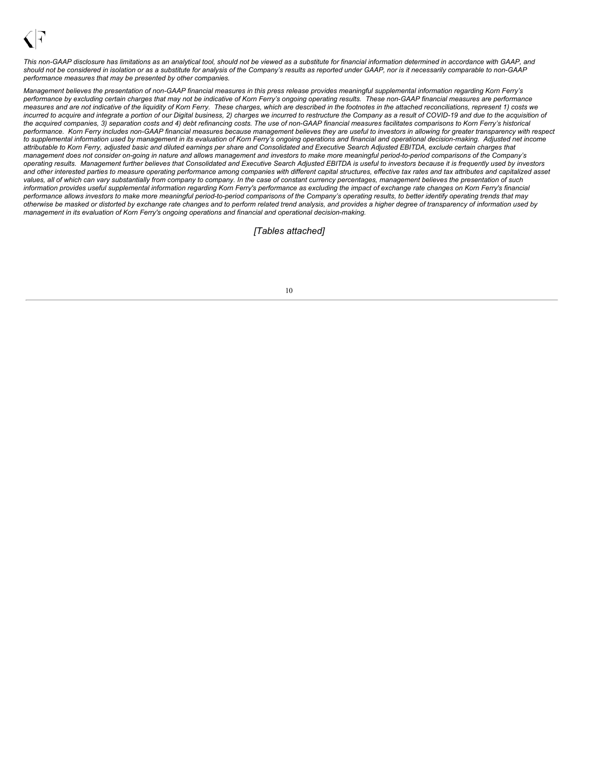

This non-GAAP disclosure has limitations as an analytical tool, should not be viewed as a substitute for financial information determined in accordance with GAAP, and should not be considered in isolation or as a substitute for analysis of the Company's results as reported under GAAP, nor is it necessarily comparable to non-GAAP *performance measures that may be presented by other companies.*

Management believes the presentation of non-GAAP financial measures in this press release provides meaningful supplemental information regarding Korn Ferry's performance by excluding certain charges that may not be indicative of Korn Ferry's ongoing operating results. These non-GAAP financial measures are performance measures and are not indicative of the liquidity of Korn Ferry. These charges, which are described in the footnotes in the attached reconciliations, represent 1) costs we incurred to acquire and integrate a portion of our Digital business, 2) charges we incurred to restructure the Company as a result of COVID-19 and due to the acquisition of the acquired companies, 3) separation costs and 4) debt refinancing costs. The use of non-GAAP financial measures facilitates comparisons to Korn Ferry's historical performance. Korn Ferry includes non-GAAP financial measures because management believes they are useful to investors in allowing for greater transparency with respect to supplemental information used by management in its evaluation of Korn Ferry's ongoing operations and financial and operational decision-making. Adjusted net income attributable to Korn Ferry, adjusted basic and diluted earnings per share and Consolidated and Executive Search Adjusted EBITDA, exclude certain charges that management does not consider on-going in nature and allows management and investors to make more meaningful period-to-period comparisons of the Company's operating results. Management further believes that Consolidated and Executive Search Adjusted EBITDA is useful to investors because it is frequently used by investors and other interested parties to measure operating performance among companies with different capital structures, effective tax rates and tax attributes and capitalized asset values, all of which can vary substantially from company to company. In the case of constant currency percentages, management believes the presentation of such information provides useful supplemental information regarding Korn Ferry's performance as excluding the impact of exchange rate changes on Korn Ferry's financial performance allows investors to make more meaningful period-to-period comparisons of the Company's operating results, to better identify operating trends that may otherwise be masked or distorted by exchange rate changes and to perform related trend analysis, and provides a higher degree of transparency of information used by *management in its evaluation of Korn Ferry's ongoing operations and financial and operational decision-making.*

*[Tables attached]*

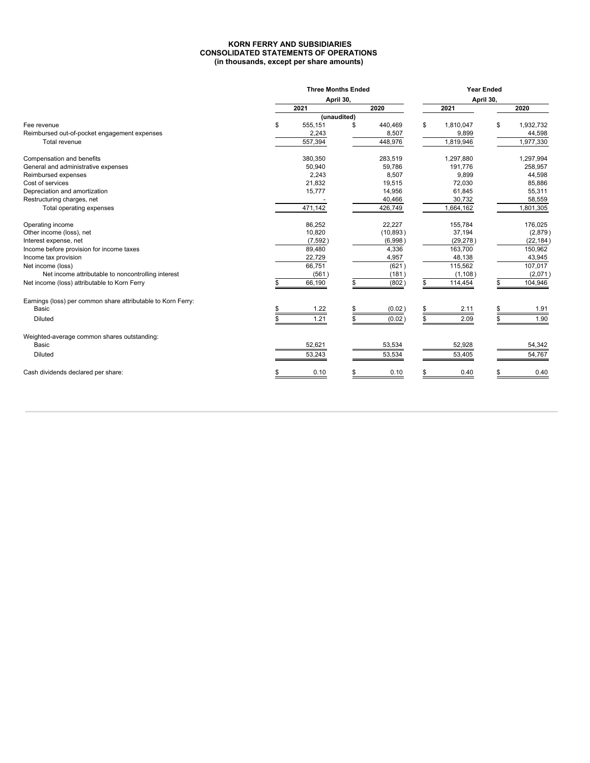#### **KORN FERRY AND SUBSIDIARIES CONSOLIDATED STATEMENTS OF OPERATIONS (in thousands, except per share amounts)**

|                                                              | <b>Three Months Ended</b> |             |           | <b>Year Ended</b> |     |           |
|--------------------------------------------------------------|---------------------------|-------------|-----------|-------------------|-----|-----------|
|                                                              |                           | April 30,   |           | April 30,         |     |           |
|                                                              | 2021                      |             | 2020      | 2021              |     | 2020      |
|                                                              |                           | (unaudited) |           |                   |     |           |
| Fee revenue                                                  | \$<br>555,151             |             | 440,469   | \$<br>1,810,047   | \$  | 1,932,732 |
| Reimbursed out-of-pocket engagement expenses                 | 2,243                     |             | 8,507     | 9,899             |     | 44,598    |
| Total revenue                                                | 557,394                   |             | 448,976   | 1,819,946         |     | 1,977,330 |
| Compensation and benefits                                    | 380,350                   |             | 283,519   | 1,297,880         |     | 1,297,994 |
| General and administrative expenses                          | 50,940                    |             | 59,786    | 191,776           |     | 258,957   |
| Reimbursed expenses                                          | 2,243                     |             | 8,507     | 9,899             |     | 44,598    |
| Cost of services                                             | 21,832                    |             | 19,515    | 72,030            |     | 85,886    |
| Depreciation and amortization                                | 15,777                    |             | 14,956    | 61,845            |     | 55,311    |
| Restructuring charges, net                                   |                           |             | 40,466    | 30,732            |     | 58,559    |
| Total operating expenses                                     | 471,142                   |             | 426,749   | 1,664,162         |     | 1,801,305 |
| Operating income                                             | 86,252                    |             | 22,227    | 155,784           |     | 176,025   |
| Other income (loss), net                                     | 10,820                    |             | (10, 893) | 37,194            |     | (2,879)   |
| Interest expense, net                                        | (7, 592)                  |             | (6,998)   | (29, 278)         |     | (22, 184) |
| Income before provision for income taxes                     | 89,480                    |             | 4,336     | 163,700           |     | 150,962   |
| Income tax provision                                         | 22,729                    |             | 4,957     | 48,138            |     | 43,945    |
| Net income (loss)                                            | 66,751                    |             | (621)     | 115,562           |     | 107,017   |
| Net income attributable to noncontrolling interest           | (561)                     |             | (181)     | (1, 108)          |     | (2,071)   |
| Net income (loss) attributable to Korn Ferry                 | 66,190                    |             | (802)     | 114,454           |     | 104,946   |
| Earnings (loss) per common share attributable to Korn Ferry: |                           |             |           |                   |     |           |
| Basic                                                        | 1.22                      |             | (0.02)    | 2.11              |     | 1.91      |
| <b>Diluted</b>                                               | \$<br>1.21                |             | (0.02)    | 2.09              | \$. | 1.90      |
| Weighted-average common shares outstanding:                  |                           |             |           |                   |     |           |
| Basic                                                        | 52,621                    |             | 53,534    | 52,928            |     | 54,342    |
| <b>Diluted</b>                                               | 53,243                    |             | 53,534    | 53,405            |     | 54,767    |
| Cash dividends declared per share:                           | 0.10                      |             | 0.10      | 0.40              |     | 0.40      |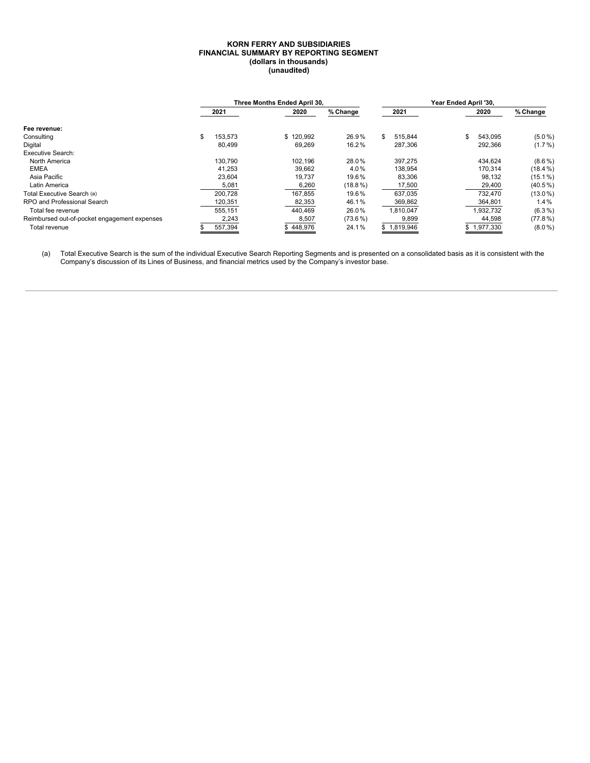#### **KORN FERRY AND SUBSIDIARIES FINANCIAL SUMMARY BY REPORTING SEGMENT (dollars in thousands) (unaudited)**

|                                              |               | Three Months Ended April 30, |            |               | Year Ended April '30. |             |            |
|----------------------------------------------|---------------|------------------------------|------------|---------------|-----------------------|-------------|------------|
|                                              | 2021          | 2020                         | % Change   | 2021          |                       | 2020        | % Change   |
| Fee revenue:                                 |               |                              |            |               |                       |             |            |
| Consulting                                   | \$<br>153.573 | \$120.992                    | 26.9%      | \$<br>515.844 | ж.                    | 543,095     | $(5.0\%)$  |
| Digital                                      | 80,499        | 69,269                       | 16.2%      | 287,306       |                       | 292,366     | $(1.7\%)$  |
| <b>Executive Search:</b>                     |               |                              |            |               |                       |             |            |
| North America                                | 130.790       | 102,196                      | 28.0%      | 397,275       |                       | 434,624     | $(8.6\%)$  |
| <b>EMEA</b>                                  | 41,253        | 39,662                       | 4.0%       | 138,954       |                       | 170.314     | $(18.4\%)$ |
| Asia Pacific                                 | 23.604        | 19.737                       | 19.6%      | 83,306        |                       | 98,132      | $(15.1\%)$ |
| Latin America                                | 5,081         | 6,260                        | $(18.8\%)$ | 17,500        |                       | 29,400      | $(40.5\%)$ |
| Total Executive Search (a)                   | 200.728       | 167.855                      | 19.6%      | 637.035       |                       | 732.470     | $(13.0\%)$ |
| RPO and Professional Search                  | 120,351       | 82,353                       | 46.1%      | 369,862       |                       | 364,801     | $1.4\%$    |
| Total fee revenue                            | 555.151       | 440.469                      | 26.0%      | 1,810,047     |                       | 1,932,732   | $(6.3\%)$  |
| Reimbursed out-of-pocket engagement expenses | 2,243         | 8,507                        | $(73.6\%)$ | 9,899         |                       | 44,598      | $(77.8\%)$ |
| Total revenue                                | 557.394       | \$448,976                    | 24.1%      | \$1.819.946   |                       | \$1.977.330 | $(8.0\%)$  |

(a) Total Executive Search is the sum of the individual Executive Search Reporting Segments and is presented on a consolidated basis as it is consistent with the Company's discussion of its Lines of Business, and financial metrics used by the Company's investor base.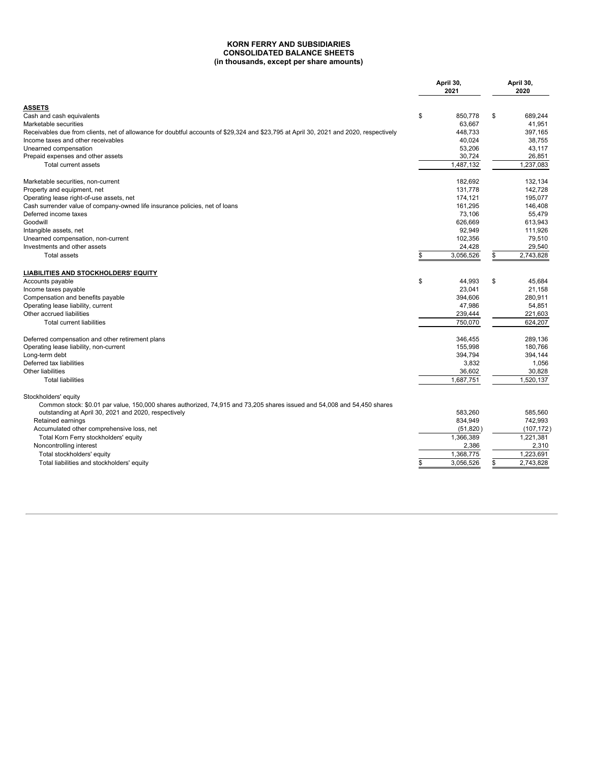#### **KORN FERRY AND SUBSIDIARIES CONSOLIDATED BALANCE SHEETS (in thousands, except per share amounts)**

|                                                                                                                                                                                 | April 30,<br>2021 | April 30,<br>2020 |
|---------------------------------------------------------------------------------------------------------------------------------------------------------------------------------|-------------------|-------------------|
| <b>ASSETS</b>                                                                                                                                                                   |                   |                   |
| Cash and cash equivalents                                                                                                                                                       | \$<br>850.778     | \$<br>689.244     |
| Marketable securities                                                                                                                                                           | 63,667            | 41,951            |
| Receivables due from clients, net of allowance for doubtful accounts of \$29,324 and \$23,795 at April 30, 2021 and 2020, respectively                                          | 448.733           | 397.165           |
| Income taxes and other receivables                                                                                                                                              | 40,024            | 38.755            |
| Unearned compensation                                                                                                                                                           | 53,206            | 43.117            |
| Prepaid expenses and other assets                                                                                                                                               | 30,724            | 26,851            |
| Total current assets                                                                                                                                                            | 1,487,132         | 1,237,083         |
| Marketable securities, non-current                                                                                                                                              | 182,692           | 132,134           |
| Property and equipment, net                                                                                                                                                     | 131,778           | 142,728           |
| Operating lease right-of-use assets, net                                                                                                                                        | 174,121           | 195,077           |
| Cash surrender value of company-owned life insurance policies, net of loans                                                                                                     | 161.295           | 146.408           |
| Deferred income taxes<br>Goodwill                                                                                                                                               | 73,106<br>626.669 | 55,479<br>613.943 |
| Intangible assets, net                                                                                                                                                          | 92,949            | 111,926           |
| Unearned compensation, non-current                                                                                                                                              | 102,356           | 79,510            |
| Investments and other assets                                                                                                                                                    | 24,428            | 29,540            |
| <b>Total assets</b>                                                                                                                                                             | \$<br>3,056,526   | \$<br>2,743,828   |
| <b>LIABILITIES AND STOCKHOLDERS' EQUITY</b>                                                                                                                                     |                   |                   |
| Accounts payable                                                                                                                                                                | \$<br>44,993      | \$<br>45.684      |
| Income taxes payable                                                                                                                                                            | 23,041            | 21,158            |
| Compensation and benefits payable                                                                                                                                               | 394,606           | 280,911           |
| Operating lease liability, current                                                                                                                                              | 47,986            | 54,851            |
| Other accrued liabilities                                                                                                                                                       | 239,444           | 221,603           |
| <b>Total current liabilities</b>                                                                                                                                                | 750,070           | 624,207           |
| Deferred compensation and other retirement plans                                                                                                                                | 346.455           | 289.136           |
| Operating lease liability, non-current                                                                                                                                          | 155,998           | 180.766           |
| Long-term debt                                                                                                                                                                  | 394,794           | 394,144           |
| Deferred tax liabilities                                                                                                                                                        | 3,832             | 1,056             |
| Other liabilities                                                                                                                                                               | 36,602            | 30,828            |
| <b>Total liabilities</b>                                                                                                                                                        | 1,687,751         | 1,520,137         |
| Stockholders' equity                                                                                                                                                            |                   |                   |
| Common stock: \$0.01 par value, 150,000 shares authorized, 74,915 and 73,205 shares issued and 54,008 and 54,450 shares<br>outstanding at April 30, 2021 and 2020, respectively | 583.260           | 585.560           |
| Retained earnings                                                                                                                                                               | 834,949           | 742,993           |
| Accumulated other comprehensive loss, net                                                                                                                                       | (51, 820)         | (107, 172)        |
| Total Korn Ferry stockholders' equity                                                                                                                                           | 1,366,389         | 1,221,381         |
| Noncontrolling interest                                                                                                                                                         | 2,386             | 2,310             |
| Total stockholders' equity                                                                                                                                                      | 1,368,775         | 1.223.691         |
| Total liabilities and stockholders' equity                                                                                                                                      | \$<br>3,056,526   | \$<br>2,743,828   |
|                                                                                                                                                                                 |                   |                   |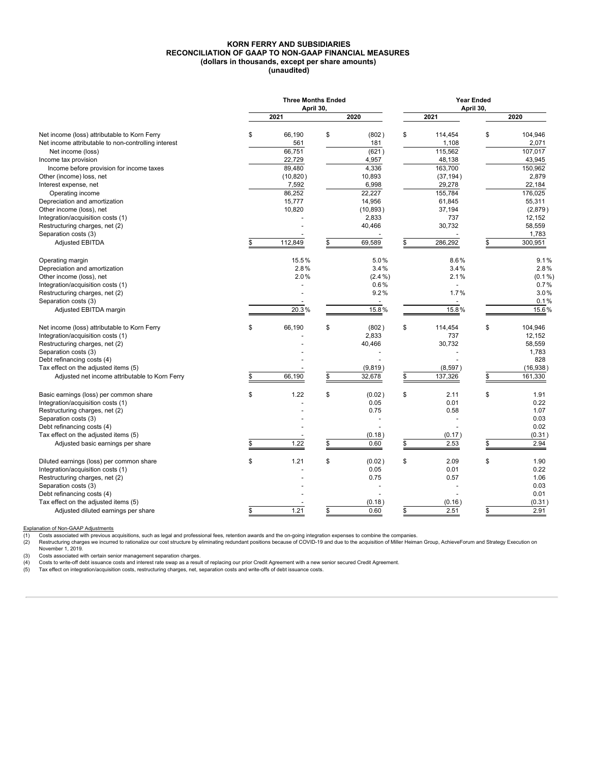#### **KORN FERRY AND SUBSIDIARIES RECONCILIATION OF GAAP TO NON-GAAP FINANCIAL MEASURES (dollars in thousands, except per share amounts) (unaudited)**

|                                                     | <b>Three Months Ended</b><br>April 30, |                          | <b>Year Ended</b><br>April 30, |               |
|-----------------------------------------------------|----------------------------------------|--------------------------|--------------------------------|---------------|
|                                                     | 2021                                   | 2020                     | 2021                           | 2020          |
| Net income (loss) attributable to Korn Ferry        | \$<br>66,190                           | \$<br>(802)              | \$<br>114,454                  | \$<br>104,946 |
| Net income attributable to non-controlling interest | 561                                    | 181                      | 1,108                          | 2,071         |
| Net income (loss)                                   | 66,751                                 | (621)                    | 115,562                        | 107,017       |
| Income tax provision                                | 22,729                                 | 4,957                    | 48,138                         | 43,945        |
| Income before provision for income taxes            | 89.480                                 | 4,336                    | 163.700                        | 150.962       |
| Other (income) loss, net                            | (10, 820)                              | 10,893                   | (37, 194)                      | 2,879         |
| Interest expense, net                               | 7,592                                  | 6,998                    | 29,278                         | 22,184        |
| Operating income                                    | 86,252                                 | 22,227                   | 155,784                        | 176,025       |
| Depreciation and amortization                       | 15,777                                 | 14,956                   | 61,845                         | 55,311        |
| Other income (loss), net                            | 10,820                                 | (10, 893)                | 37,194                         | (2,879)       |
| Integration/acquisition costs (1)                   |                                        | 2,833                    | 737                            | 12,152        |
| Restructuring charges, net (2)                      |                                        | 40,466                   | 30,732                         | 58,559        |
| Separation costs (3)                                |                                        |                          |                                | 1,783         |
| <b>Adjusted EBITDA</b>                              | \$<br>112,849                          | \$<br>69,589             | \$<br>286,292                  | \$<br>300,951 |
| Operating margin                                    | 15.5%                                  | 5.0%                     | 8.6%                           | 9.1%          |
| Depreciation and amortization                       | 2.8%                                   | 3.4%                     | 3.4%                           | 2.8%          |
| Other income (loss), net                            | 2.0%                                   | $(2.4\%)$                | 2.1%                           | $(0.1\%)$     |
| Integration/acquisition costs (1)                   |                                        | 0.6%                     |                                | 0.7%          |
| Restructuring charges, net (2)                      |                                        | 9.2%                     | 1.7%                           | 3.0%          |
| Separation costs (3)                                |                                        | $\overline{\phantom{a}}$ | $\overline{\phantom{a}}$       | 0.1%          |
| Adjusted EBITDA margin                              | 20.3%                                  | 15.8%                    | 15.8%                          | 15.6%         |
| Net income (loss) attributable to Korn Ferry        | \$<br>66,190                           | \$<br>(802)              | \$<br>114,454                  | \$<br>104,946 |
| Integration/acquisition costs (1)                   |                                        | 2,833                    | 737                            | 12.152        |
| Restructuring charges, net (2)                      |                                        | 40,466                   | 30,732                         | 58,559        |
| Separation costs (3)                                |                                        |                          |                                | 1,783         |
| Debt refinancing costs (4)                          |                                        |                          |                                | 828           |
| Tax effect on the adjusted items (5)                |                                        | (9,819)                  | (8, 597)                       | (16,938)      |
| Adjusted net income attributable to Korn Ferry      | 66,190                                 | \$<br>32,678             | \$<br>137,326                  | \$<br>161,330 |
| Basic earnings (loss) per common share              | \$<br>1.22                             | \$<br>(0.02)             | \$<br>2.11                     | \$<br>1.91    |
| Integration/acquisition costs (1)                   |                                        | 0.05                     | 0.01                           | 0.22          |
| Restructuring charges, net (2)                      |                                        | 0.75                     | 0.58                           | 1.07          |
| Separation costs (3)                                |                                        |                          |                                | 0.03          |
| Debt refinancing costs (4)                          |                                        |                          |                                | 0.02          |
| Tax effect on the adjusted items (5)                |                                        | (0.18)                   | (0.17)                         | (0.31)        |
| Adjusted basic earnings per share                   | 1.22                                   | \$<br>0.60               | \$<br>2.53                     | \$<br>2.94    |
| Diluted earnings (loss) per common share            | \$<br>1.21                             | \$<br>(0.02)             | \$<br>2.09                     | \$<br>1.90    |
| Integration/acquisition costs (1)                   |                                        | 0.05                     | 0.01                           | 0.22          |
| Restructuring charges, net (2)                      |                                        | 0.75                     | 0.57                           | 1.06          |
| Separation costs (3)                                |                                        |                          |                                | 0.03          |
| Debt refinancing costs (4)                          |                                        |                          |                                | 0.01          |
| Tax effect on the adjusted items (5)                |                                        | (0.18)                   | (0.16)                         | \$<br>(0.31)  |
| Adjusted diluted earnings per share                 | \$<br>1.21                             | \$<br>0.60               | \$<br>2.51                     | 2.91          |

Explanation of Non-GAAP Adjustments<br>
(1) Costs associated with previous ac<br>
(2) Restructuring charges we incurred (1) Costs associated with previous acquisitions, such as legal and professional fees, retention awards and the on-going integration expenses to combine the companies.<br>(2) Restructuring charges we incurred to rationalize ou November 1, 2019.

(3) Costs associated with certain senior management separation charges.<br>(4) Costs to write-off debt issuance costs and interest rate swap as a result of replacing our prior Credit Agreement with a new senior secured Credit

Costs associated with certain senior management separation charges.<br>
(4) Costs to write-off debt issuance costs and interest rate swap as a result of replacing our prior Credit Agreement with a new separation costs.<br>
(5) T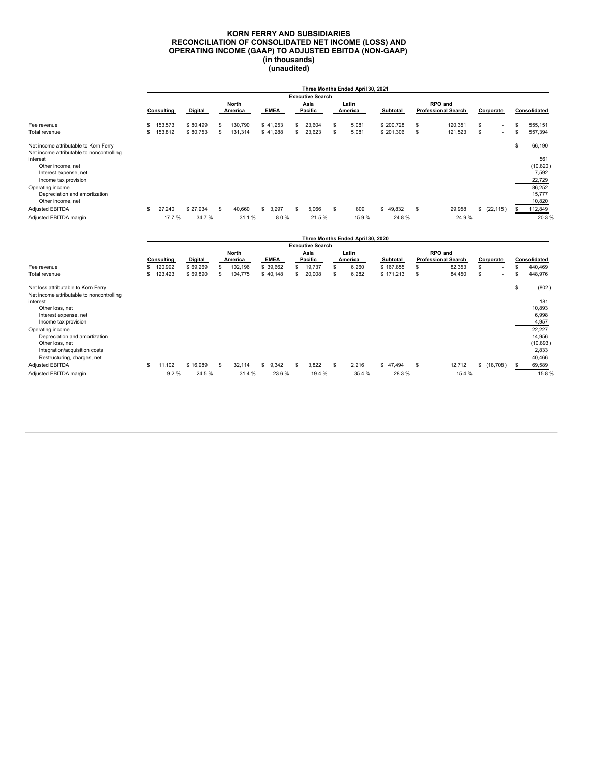#### **KORN FERRY AND SUBSIDIARIES RECONCILIATION OF CONSOLIDATED NET INCOME (LOSS) AND OPERATING INCOME (GAAP) TO ADJUSTED EBITDA (NON-GAAP) (in thousands) (unaudited)**

|                                                                                                                                                                      |     |            |          |                  |   |             |                                 |    | Three Months Ended April 30, 2021 |            |    |                                              |    |                          |                                                     |
|----------------------------------------------------------------------------------------------------------------------------------------------------------------------|-----|------------|----------|------------------|---|-------------|---------------------------------|----|-----------------------------------|------------|----|----------------------------------------------|----|--------------------------|-----------------------------------------------------|
|                                                                                                                                                                      |     |            |          |                  |   |             | <b>Executive Search</b>         |    |                                   |            |    |                                              |    |                          |                                                     |
|                                                                                                                                                                      |     | Consulting | Digital  | North<br>America |   | <b>EMEA</b> | Asia<br>Pacific                 |    | Latin<br>America                  | Subtotal   |    | <b>RPO</b> and<br><b>Professional Search</b> |    | Corporate                | Consolidated                                        |
| Fee revenue                                                                                                                                                          | \$. | 153,573    | \$80,499 | \$<br>130,790    |   | \$41,253    | \$<br>23,604                    |    | 5,081                             | \$200,728  | S  | 120,351                                      | S  | $\overline{\phantom{a}}$ | \$<br>555,151                                       |
| Total revenue                                                                                                                                                        | s   | 153,812    | \$80,753 | \$<br>131,314    |   | \$41,288    | \$<br>23,623                    | \$ | 5,081                             | \$ 201,306 | S  | 121,523                                      | \$ | $\overline{\phantom{a}}$ | \$<br>557,394                                       |
| Net income attributable to Korn Ferry<br>Net income attributable to noncontrolling<br>interest<br>Other income, net<br>Interest expense, net<br>Income tax provision |     |            |          |                  |   |             |                                 |    |                                   |            |    |                                              |    |                          | \$<br>66,190<br>561<br>(10, 820)<br>7,592<br>22,729 |
| Operating income<br>Depreciation and amortization<br>Other income, net                                                                                               |     |            |          |                  |   |             |                                 |    |                                   |            |    |                                              |    |                          | 86,252<br>15,777<br>10,820                          |
| Adjusted EBITDA                                                                                                                                                      | \$. | 27,240     | \$27,934 | \$<br>40,660     | s | 3,297       | \$<br>5,066                     | -S | 809                               | \$49,832   | \$ | 29,958                                       |    | \$ (22, 115)             | 112,849                                             |
| Adjusted EBITDA margin                                                                                                                                               |     | 17.7 %     | 34.7%    | 31.1%            |   | 8.0%        | 21.5%                           |    | 15.9%                             | 24.8%      |    | 24.9%                                        |    |                          | 20.3%                                               |
|                                                                                                                                                                      |     |            |          |                  |   |             |                                 |    | Three Months Ended April 30, 2020 |            |    |                                              |    |                          |                                                     |
|                                                                                                                                                                      |     |            |          | North            |   |             | <b>Executive Search</b><br>Asia |    | Latin                             |            |    | RPO and                                      |    |                          |                                                     |
|                                                                                                                                                                      |     |            |          |                  |   |             |                                 |    |                                   |            |    |                                              |    |                          |                                                     |

|                                                                                  |    |            |          | North        |   |             |    | Asia    |    | Latin   |           |   | <b>RPO</b> and             |   |                          |              |
|----------------------------------------------------------------------------------|----|------------|----------|--------------|---|-------------|----|---------|----|---------|-----------|---|----------------------------|---|--------------------------|--------------|
|                                                                                  |    | Consulting | Digital  | America      |   | <b>EMEA</b> |    | Pacific |    | America | Subtotal  |   | <b>Professional Search</b> |   | Corporate                | Consolidated |
| Fee revenue                                                                      | Ŝ  | 120,992    | \$69,269 | 102,196      |   | \$ 39,662   |    | 19,737  |    | 6,260   | \$167,855 | S | 82,353                     |   | $\overline{\phantom{a}}$ | 440,469      |
| Total revenue                                                                    | s  | 123,423    | \$69,890 | 104,775      |   | \$40,148    |    | 20,008  |    | 6,282   | \$171,213 | S | 84,450                     | ъ | $\overline{\phantom{a}}$ | 448,976      |
| Net loss attributable to Korn Ferry<br>Net income attributable to noncontrolling |    |            |          |              |   |             |    |         |    |         |           |   |                            |   |                          | \$<br>(802)  |
| interest                                                                         |    |            |          |              |   |             |    |         |    |         |           |   |                            |   |                          | 181          |
| Other loss, net                                                                  |    |            |          |              |   |             |    |         |    |         |           |   |                            |   |                          | 10,893       |
| Interest expense, net                                                            |    |            |          |              |   |             |    |         |    |         |           |   |                            |   |                          | 6,998        |
| Income tax provision                                                             |    |            |          |              |   |             |    |         |    |         |           |   |                            |   |                          | 4,957        |
| Operating income                                                                 |    |            |          |              |   |             |    |         |    |         |           |   |                            |   |                          | 22,227       |
| Depreciation and amortization                                                    |    |            |          |              |   |             |    |         |    |         |           |   |                            |   |                          | 14,956       |
| Other loss, net                                                                  |    |            |          |              |   |             |    |         |    |         |           |   |                            |   |                          | (10, 893)    |
| Integration/acquisition costs                                                    |    |            |          |              |   |             |    |         |    |         |           |   |                            |   |                          | 2,833        |
| Restructuring, charges, net                                                      |    |            |          |              |   |             |    |         |    |         |           |   |                            |   |                          | 40,466       |
| <b>Adjusted EBITDA</b>                                                           | \$ | 11.102     | \$16,989 | \$<br>32,114 | S | 9.342       | £. | 3.822   | -S | 2,216   | \$47.494  | S | 12,712                     | s | (18,708)                 | 69,589       |
| Adjusted EBITDA margin                                                           |    | 9.2%       | 24.5%    | 31.4 %       |   | 23.6%       |    | 19.4 %  |    | 35.4 %  | 28.3%     |   | 15.4 %                     |   |                          | 15.8%        |